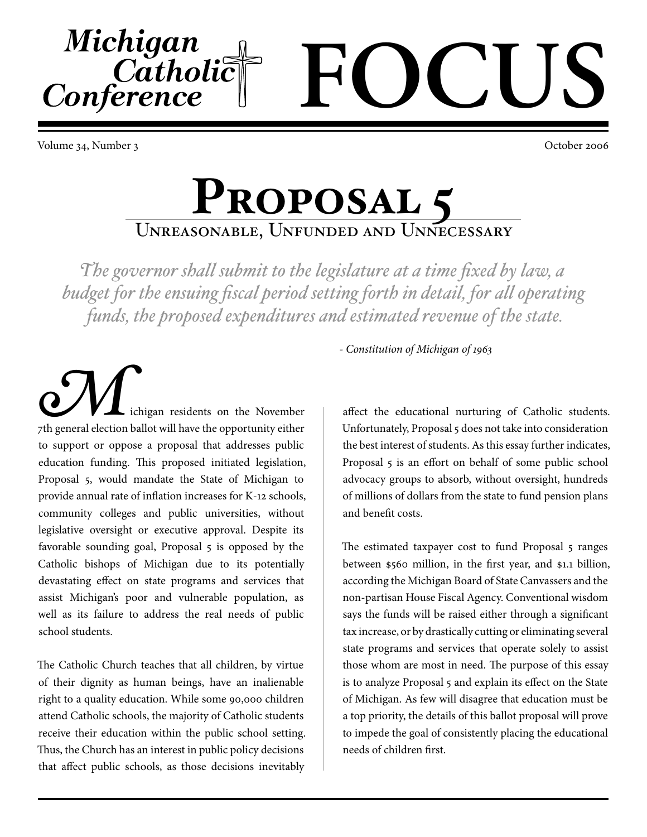Volume 34, Number 3 October 2006

Michigan

Conference

Catholic

## **Proposal 5** Unreasonable, Unfunded and Unnecessary

*The governor shall submit to the legislature at a time fixed by law, a budget for the ensuing fiscal period setting forth in detail, for all operating funds, the proposed expenditures and estimated revenue of the state.*

ichigan residents on the November **Particular Extending Extending Strategy A**<br>The general election ballot will have the opportunity either to support or oppose a proposal that addresses public education funding. This proposed initiated legislation, Proposal 5, would mandate the State of Michigan to provide annual rate of inflation increases for K-12 schools, community colleges and public universities, without legislative oversight or executive approval. Despite its favorable sounding goal, Proposal 5 is opposed by the Catholic bishops of Michigan due to its potentially devastating effect on state programs and services that assist Michigan's poor and vulnerable population, as well as its failure to address the real needs of public school students.

The Catholic Church teaches that all children, by virtue of their dignity as human beings, have an inalienable right to a quality education. While some 90,000 children attend Catholic schools, the majority of Catholic students receive their education within the public school setting. Thus, the Church has an interest in public policy decisions that affect public schools, as those decisions inevitably

*- Constitution of Michigan of 963*

**FOCUS**

affect the educational nurturing of Catholic students. Unfortunately, Proposal 5 does not take into consideration the best interest of students. As this essay further indicates, Proposal 5 is an effort on behalf of some public school advocacy groups to absorb, without oversight, hundreds of millions of dollars from the state to fund pension plans and benefit costs.

The estimated taxpayer cost to fund Proposal 5 ranges between \$560 million, in the first year, and \$1.1 billion, according the Michigan Board of State Canvassers and the non-partisan House Fiscal Agency. Conventional wisdom says the funds will be raised either through a significant tax increase, or by drastically cutting or eliminating several state programs and services that operate solely to assist those whom are most in need. The purpose of this essay is to analyze Proposal 5 and explain its effect on the State of Michigan. As few will disagree that education must be a top priority, the details of this ballot proposal will prove to impede the goal of consistently placing the educational needs of children first.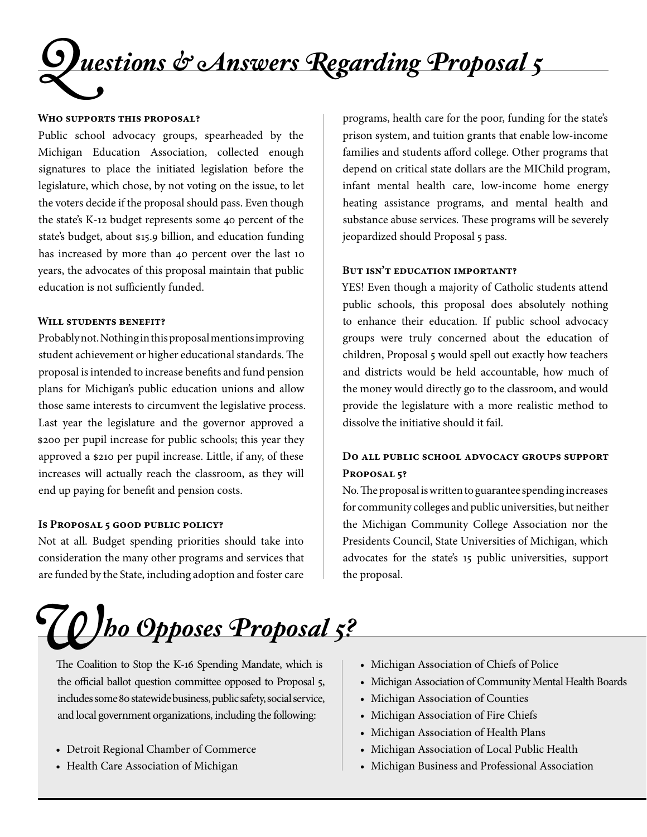# *Questions & Answers Regarding Proposal 5*

#### **Who supports this proposal?**

Public school advocacy groups, spearheaded by the Michigan Education Association, collected enough signatures to place the initiated legislation before the legislature, which chose, by not voting on the issue, to let the voters decide if the proposal should pass. Even though the state's K-12 budget represents some 40 percent of the state's budget, about \$15.9 billion, and education funding has increased by more than 40 percent over the last 10 years, the advocates of this proposal maintain that public education is not sufficiently funded.

#### **Will students benefit?**

Probably not. Nothing in this proposal mentions improving student achievement or higher educational standards. The proposal is intended to increase benefits and fund pension plans for Michigan's public education unions and allow those same interests to circumvent the legislative process. Last year the legislature and the governor approved a 200 per pupil increase for public schools; this year they approved a \$210 per pupil increase. Little, if any, of these increases will actually reach the classroom, as they will end up paying for benefit and pension costs.

#### **Is Proposal 5 good public policy?**

Not at all. Budget spending priorities should take into consideration the many other programs and services that are funded by the State, including adoption and foster care

programs, health care for the poor, funding for the state's prison system, and tuition grants that enable low-income families and students afford college. Other programs that depend on critical state dollars are the MIChild program, infant mental health care, low-income home energy heating assistance programs, and mental health and substance abuse services. These programs will be severely jeopardized should Proposal 5 pass.

#### **But isn't education important?**

YES! Even though a majority of Catholic students attend public schools, this proposal does absolutely nothing to enhance their education. If public school advocacy groups were truly concerned about the education of children, Proposal 5 would spell out exactly how teachers and districts would be held accountable, how much of the money would directly go to the classroom, and would provide the legislature with a more realistic method to dissolve the initiative should it fail.

#### **Do all public school advocacy groups support Proposal 5?**

No. The proposal is written to guarantee spending increases for community colleges and public universities, but neither the Michigan Community College Association nor the Presidents Council, State Universities of Michigan, which advocates for the state's 15 public universities, support the proposal.

*Who Opposes Proposal 5?*

The Coalition to Stop the K-16 Spending Mandate, which is the official ballot question committee opposed to Proposal 5, includes some 80 statewide business, public safety, social service, and local government organizations, including the following:

- Detroit Regional Chamber of Commerce
- Health Care Association of Michigan
- Michigan Association of Chiefs of Police
- Michigan Association of Community Mental Health Boards
- Michigan Association of Counties
- Michigan Association of Fire Chiefs
- Michigan Association of Health Plans
- Michigan Association of Local Public Health
- Michigan Business and Professional Association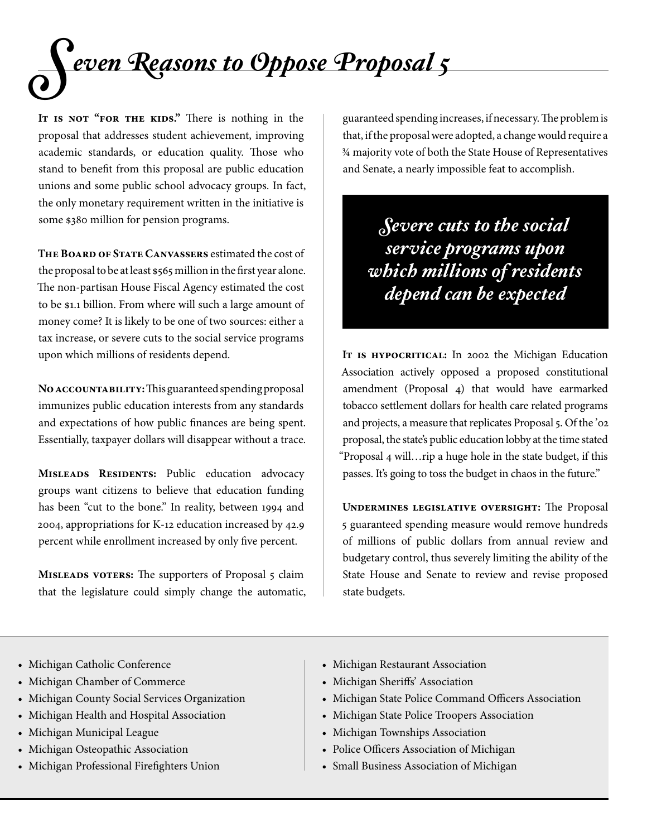

IT IS NOT "FOR THE KIDS." There is nothing in the proposal that addresses student achievement, improving academic standards, or education quality. Those who stand to benefit from this proposal are public education unions and some public school advocacy groups. In fact, the only monetary requirement written in the initiative is some \$380 million for pension programs.

**The Board of State Canvassers** estimated the cost of the proposal to be at least \$565 million in the first year alone. The non-partisan House Fiscal Agency estimated the cost to be \$1.1 billion. From where will such a large amount of money come? It is likely to be one of two sources: either a tax increase, or severe cuts to the social service programs upon which millions of residents depend.

**No accountability:** This guaranteed spending proposal immunizes public education interests from any standards and expectations of how public finances are being spent. Essentially, taxpayer dollars will disappear without a trace.

MISLEADS RESIDENTS: Public education advocacy groups want citizens to believe that education funding has been "cut to the bone." In reality, between 1994 and 2004, appropriations for K-2 education increased by 42.9 percent while enrollment increased by only five percent.

**Misleads voters:** The supporters of Proposal 5 claim that the legislature could simply change the automatic, guaranteed spending increases, if necessary. The problem is that, if the proposal were adopted, a change would require a ¾ majority vote of both the State House of Representatives and Senate, a nearly impossible feat to accomplish.

*Severe cuts to the social service programs upon which millions of residents depend can be expected*

IT IS HYPOCRITICAL: In 2002 the Michigan Education Association actively opposed a proposed constitutional amendment (Proposal 4) that would have earmarked tobacco settlement dollars for health care related programs and projects, a measure that replicates Proposal 5. Of the '02 proposal, the state's public education lobby at the time stated "Proposal 4 will…rip a huge hole in the state budget, if this passes. It's going to toss the budget in chaos in the future."

**Undermines legislative oversight:** The Proposal 5 guaranteed spending measure would remove hundreds of millions of public dollars from annual review and budgetary control, thus severely limiting the ability of the State House and Senate to review and revise proposed state budgets.

- Michigan Catholic Conference
- Michigan Chamber of Commerce
- Michigan County Social Services Organization
- Michigan Health and Hospital Association
- Michigan Municipal League
- Michigan Osteopathic Association
- Michigan Professional Firefighters Union
- Michigan Restaurant Association
- Michigan Sheriffs' Association
- Michigan State Police Command Officers Association
- Michigan State Police Troopers Association
- Michigan Townships Association
- Police Officers Association of Michigan
- Small Business Association of Michigan